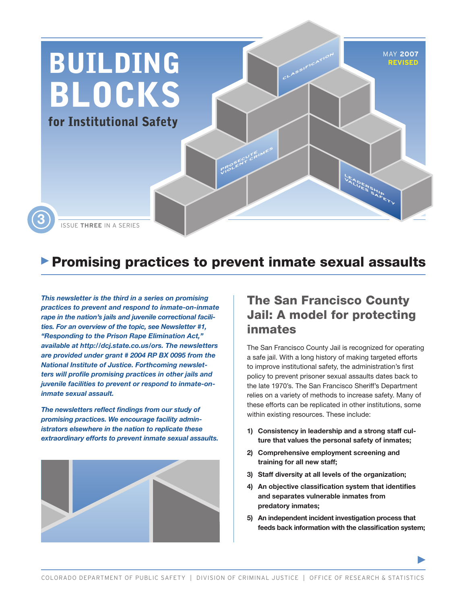

# **Promising practices to prevent inmate sexual assaults**

*This newsletter is the third in a series on promising practices to prevent and respond to inmate-on-inmate rape in the nation's jails and juvenile correctional facilities. For an overview of the topic, see Newsletter #1, "Responding to the Prison Rape Elimination Act," available at http://dcj.state.co.us/ors. The newsletters are provided under grant # 2004 RP BX 0095 from the National Institute of Justice. Forthcoming newsletters will profile promising practices in other jails and juvenile facilities to prevent or respond to inmate-oninmate sexual assault.*

*The newsletters reflect findings from our study of promising practices. We encourage facility administrators elsewhere in the nation to replicate these extraordinary efforts to prevent inmate sexual assaults.* 



# The San Francisco County Jail: A model for protecting inmates

The San Francisco County Jail is recognized for operating a safe jail. With a long history of making targeted efforts to improve institutional safety, the administration's first policy to prevent prisoner sexual assaults dates back to the late 1970's. The San Francisco Sheriff's Department relies on a variety of methods to increase safety. Many of these efforts can be replicated in other institutions, some within existing resources. These include:

- **1) Consistency in leadership and a strong staff culture that values the personal safety of inmates;**
- **2) Comprehensive employment screening and training for all new staff;**
- **3) Staff diversity at all levels of the organization;**
- **4) An objective classification system that identifies and separates vulnerable inmates from predatory inmates;**
- **5) An independent incident investigation process that feeds back information with the classification system;**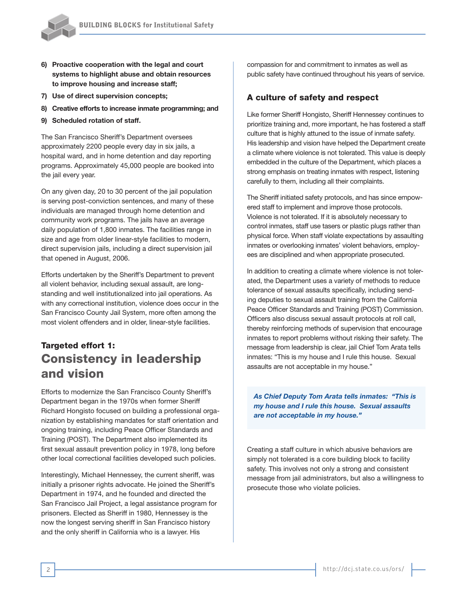

- **6) Proactive cooperation with the legal and court systems to highlight abuse and obtain resources to improve housing and increase staff;**
- **7) Use of direct supervision concepts;**
- **8) Creative efforts to increase inmate programming; and**
- **9) Scheduled rotation of staff.**

The San Francisco Sheriff's Department oversees approximately 2200 people every day in six jails, a hospital ward, and in home detention and day reporting programs. Approximately 45,000 people are booked into the jail every year.

On any given day, 20 to 30 percent of the jail population is serving post-conviction sentences, and many of these individuals are managed through home detention and community work programs. The jails have an average daily population of 1,800 inmates. The facilities range in size and age from older linear-style facilities to modern, direct supervision jails, including a direct supervision jail that opened in August, 2006.

Efforts undertaken by the Sheriff's Department to prevent all violent behavior, including sexual assault, are longstanding and well institutionalized into jail operations. As with any correctional institution, violence does occur in the San Francisco County Jail System, more often among the most violent offenders and in older, linear-style facilities.

# Targeted effort 1: Consistency in leadership and vision

Efforts to modernize the San Francisco County Sheriff's Department began in the 1970s when former Sheriff Richard Hongisto focused on building a professional organization by establishing mandates for staff orientation and ongoing training, including Peace Officer Standards and Training (POST). The Department also implemented its first sexual assault prevention policy in 1978, long before other local correctional facilities developed such policies.

Interestingly, Michael Hennessey, the current sheriff, was initially a prisoner rights advocate. He joined the Sheriff's Department in 1974, and he founded and directed the San Francisco Jail Project, a legal assistance program for prisoners. Elected as Sheriff in 1980, Hennessey is the now the longest serving sheriff in San Francisco history and the only sheriff in California who is a lawyer. His

compassion for and commitment to inmates as well as public safety have continued throughout his years of service.

## A culture of safety and respect

Like former Sheriff Hongisto, Sheriff Hennessey continues to prioritize training and, more important, he has fostered a staff culture that is highly attuned to the issue of inmate safety. His leadership and vision have helped the Department create a climate where violence is not tolerated. This value is deeply embedded in the culture of the Department, which places a strong emphasis on treating inmates with respect, listening carefully to them, including all their complaints.

The Sheriff initiated safety protocols, and has since empowered staff to implement and improve those protocols. Violence is not tolerated. If it is absolutely necessary to control inmates, staff use tasers or plastic plugs rather than physical force. When staff violate expectations by assaulting inmates or overlooking inmates' violent behaviors, employees are disciplined and when appropriate prosecuted.

In addition to creating a climate where violence is not tolerated, the Department uses a variety of methods to reduce tolerance of sexual assaults specifically, including sending deputies to sexual assault training from the California Peace Officer Standards and Training (POST) Commission. Officers also discuss sexual assault protocols at roll call, thereby reinforcing methods of supervision that encourage inmates to report problems without risking their safety. The message from leadership is clear, jail Chief Tom Arata tells inmates: "This is my house and I rule this house. Sexual assaults are not acceptable in my house."

*As Chief Deputy Tom Arata tells inmates: "This is my house and I rule this house. Sexual assaults are not acceptable in my house."* 

Creating a staff culture in which abusive behaviors are simply not tolerated is a core building block to facility safety. This involves not only a strong and consistent message from jail administrators, but also a willingness to prosecute those who violate policies.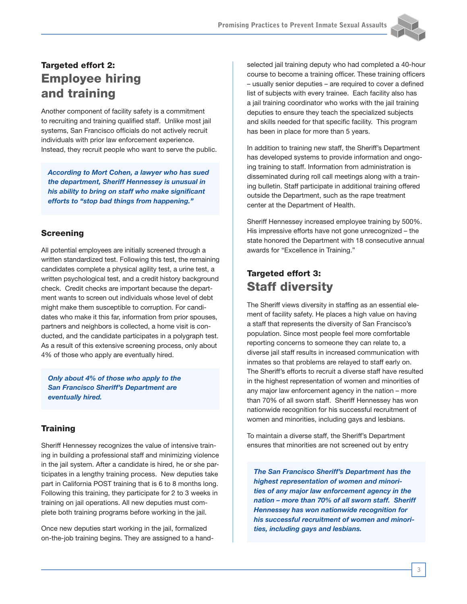

# Targeted effort 2: Employee hiring and training

Another component of facility safety is a commitment to recruiting and training qualified staff. Unlike most jail systems, San Francisco officials do not actively recruit individuals with prior law enforcement experience. Instead, they recruit people who want to serve the public.

*According to Mort Cohen, a lawyer who has sued the department, Sheriff Hennessey is unusual in his ability to bring on staff who make significant efforts to "stop bad things from happening."*

## Screening

All potential employees are initially screened through a written standardized test. Following this test, the remaining candidates complete a physical agility test, a urine test, a written psychological test, and a credit history background check. Credit checks are important because the department wants to screen out individuals whose level of debt might make them susceptible to corruption. For candidates who make it this far, information from prior spouses, partners and neighbors is collected, a home visit is conducted, and the candidate participates in a polygraph test. As a result of this extensive screening process, only about 4% of those who apply are eventually hired.

*Only about 4% of those who apply to the San Francisco Sheriff's Department are eventually hired.*

## **Training**

Sheriff Hennessey recognizes the value of intensive training in building a professional staff and minimizing violence in the jail system. After a candidate is hired, he or she participates in a lengthy training process. New deputies take part in California POST training that is 6 to 8 months long. Following this training, they participate for 2 to 3 weeks in training on jail operations. All new deputies must complete both training programs before working in the jail.

Once new deputies start working in the jail, formalized on-the-job training begins. They are assigned to a handselected jail training deputy who had completed a 40-hour course to become a training officer. These training officers – usually senior deputies – are required to cover a defined list of subjects with every trainee. Each facility also has a jail training coordinator who works with the jail training deputies to ensure they teach the specialized subjects and skills needed for that specific facility. This program has been in place for more than 5 years.

In addition to training new staff, the Sheriff's Department has developed systems to provide information and ongoing training to staff. Information from administration is disseminated during roll call meetings along with a training bulletin. Staff participate in additional training offered outside the Department, such as the rape treatment center at the Department of Health.

Sheriff Hennessey increased employee training by 500%. His impressive efforts have not gone unrecognized – the state honored the Department with 18 consecutive annual awards for "Excellence in Training."

## Targeted effort 3: Staff diversity

The Sheriff views diversity in staffing as an essential element of facility safety. He places a high value on having a staff that represents the diversity of San Francisco's population. Since most people feel more comfortable reporting concerns to someone they can relate to, a diverse jail staff results in increased communication with inmates so that problems are relayed to staff early on. The Sheriff's efforts to recruit a diverse staff have resulted in the highest representation of women and minorities of any major law enforcement agency in the nation – more than 70% of all sworn staff. Sheriff Hennessey has won nationwide recognition for his successful recruitment of women and minorities, including gays and lesbians.

To maintain a diverse staff, the Sheriff's Department ensures that minorities are not screened out by entry

*The San Francisco Sheriff's Department has the highest representation of women and minorities of any major law enforcement agency in the nation – more than 70% of all sworn staff. Sheriff Hennessey has won nationwide recognition for his successful recruitment of women and minorities, including gays and lesbians.*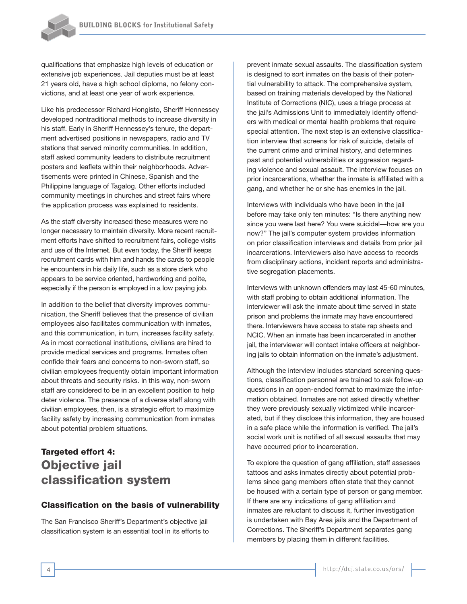qualifications that emphasize high levels of education or extensive job experiences. Jail deputies must be at least 21 years old, have a high school diploma, no felony convictions, and at least one year of work experience.

Like his predecessor Richard Hongisto, Sheriff Hennessey developed nontraditional methods to increase diversity in his staff. Early in Sheriff Hennessey's tenure, the department advertised positions in newspapers, radio and TV stations that served minority communities. In addition, staff asked community leaders to distribute recruitment posters and leaflets within their neighborhoods. Advertisements were printed in Chinese, Spanish and the Philippine language of Tagalog. Other efforts included community meetings in churches and street fairs where the application process was explained to residents.

As the staff diversity increased these measures were no longer necessary to maintain diversity. More recent recruitment efforts have shifted to recruitment fairs, college visits and use of the Internet. But even today, the Sheriff keeps recruitment cards with him and hands the cards to people he encounters in his daily life, such as a store clerk who appears to be service oriented, hardworking and polite, especially if the person is employed in a low paying job.

In addition to the belief that diversity improves communication, the Sheriff believes that the presence of civilian employees also facilitates communication with inmates, and this communication, in turn, increases facility safety. As in most correctional institutions, civilians are hired to provide medical services and programs. Inmates often confide their fears and concerns to non-sworn staff, so civilian employees frequently obtain important information about threats and security risks. In this way, non-sworn staff are considered to be in an excellent position to help deter violence. The presence of a diverse staff along with civilian employees, then, is a strategic effort to maximize facility safety by increasing communication from inmates about potential problem situations.

## Targeted effort 4: Objective jail classification system

## Classification on the basis of vulnerability

The San Francisco Sheriff's Department's objective jail classification system is an essential tool in its efforts to prevent inmate sexual assaults. The classification system is designed to sort inmates on the basis of their potential vulnerability to attack. The comprehensive system, based on training materials developed by the National Institute of Corrections (NIC), uses a triage process at the jail's Admissions Unit to immediately identify offenders with medical or mental health problems that require special attention. The next step is an extensive classification interview that screens for risk of suicide, details of the current crime and criminal history, and determines past and potential vulnerabilities or aggression regarding violence and sexual assault. The interview focuses on prior incarcerations, whether the inmate is affiliated with a gang, and whether he or she has enemies in the jail.

Interviews with individuals who have been in the jail before may take only ten minutes: "Is there anything new since you were last here? You were suicidal—how are you now?" The jail's computer system provides information on prior classification interviews and details from prior jail incarcerations. Interviewers also have access to records from disciplinary actions, incident reports and administrative segregation placements.

Interviews with unknown offenders may last 45-60 minutes, with staff probing to obtain additional information. The interviewer will ask the inmate about time served in state prison and problems the inmate may have encountered there. Interviewers have access to state rap sheets and NCIC. When an inmate has been incarcerated in another jail, the interviewer will contact intake officers at neighboring jails to obtain information on the inmate's adjustment.

Although the interview includes standard screening questions, classification personnel are trained to ask follow-up questions in an open-ended format to maximize the information obtained. Inmates are not asked directly whether they were previously sexually victimized while incarcerated, but if they disclose this information, they are housed in a safe place while the information is verified. The jail's social work unit is notified of all sexual assaults that may have occurred prior to incarceration.

To explore the question of gang affiliation, staff assesses tattoos and asks inmates directly about potential problems since gang members often state that they cannot be housed with a certain type of person or gang member. If there are any indications of gang affiliation and inmates are reluctant to discuss it, further investigation is undertaken with Bay Area jails and the Department of Corrections. The Sheriff's Department separates gang members by placing them in different facilities.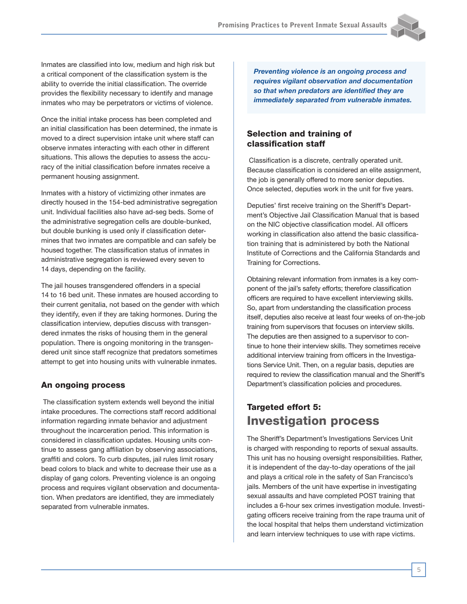

Inmates are classified into low, medium and high risk but a critical component of the classification system is the ability to override the initial classification. The override provides the flexibility necessary to identify and manage inmates who may be perpetrators or victims of violence.

Once the initial intake process has been completed and an initial classification has been determined, the inmate is moved to a direct supervision intake unit where staff can observe inmates interacting with each other in different situations. This allows the deputies to assess the accuracy of the initial classification before inmates receive a permanent housing assignment.

Inmates with a history of victimizing other inmates are directly housed in the 154-bed administrative segregation unit. Individual facilities also have ad-seg beds. Some of the administrative segregation cells are double-bunked, but double bunking is used only if classification determines that two inmates are compatible and can safely be housed together. The classification status of inmates in administrative segregation is reviewed every seven to 14 days, depending on the facility.

The jail houses transgendered offenders in a special 14 to 16 bed unit. These inmates are housed according to their current genitalia, not based on the gender with which they identify, even if they are taking hormones. During the classification interview, deputies discuss with transgendered inmates the risks of housing them in the general population. There is ongoing monitoring in the transgendered unit since staff recognize that predators sometimes attempt to get into housing units with vulnerable inmates.

## An ongoing process

 The classification system extends well beyond the initial intake procedures. The corrections staff record additional information regarding inmate behavior and adjustment throughout the incarceration period. This information is considered in classification updates. Housing units continue to assess gang affiliation by observing associations, graffiti and colors. To curb disputes, jail rules limit rosary bead colors to black and white to decrease their use as a display of gang colors. Preventing violence is an ongoing process and requires vigilant observation and documentation. When predators are identified, they are immediately separated from vulnerable inmates.

*Preventing violence is an ongoing process and requires vigilant observation and documentation so that when predators are identified they are immediately separated from vulnerable inmates.*

#### Selection and training of classification staff

 Classification is a discrete, centrally operated unit. Because classification is considered an elite assignment, the job is generally offered to more senior deputies. Once selected, deputies work in the unit for five years.

Deputies' first receive training on the Sheriff's Department's Objective Jail Classification Manual that is based on the NIC objective classification model. All officers working in classification also attend the basic classification training that is administered by both the National Institute of Corrections and the California Standards and Training for Corrections.

Obtaining relevant information from inmates is a key component of the jail's safety efforts; therefore classification officers are required to have excellent interviewing skills. So, apart from understanding the classification process itself, deputies also receive at least four weeks of on-the-job training from supervisors that focuses on interview skills. The deputies are then assigned to a supervisor to continue to hone their interview skills. They sometimes receive additional interview training from officers in the Investigations Service Unit. Then, on a regular basis, deputies are required to review the classification manual and the Sheriff's Department's classification policies and procedures.

## Targeted effort 5: Investigation process

The Sheriff's Department's Investigations Services Unit is charged with responding to reports of sexual assaults. This unit has no housing oversight responsibilities. Rather, it is independent of the day-to-day operations of the jail and plays a critical role in the safety of San Francisco's jails. Members of the unit have expertise in investigating sexual assaults and have completed POST training that includes a 6-hour sex crimes investigation module. Investigating officers receive training from the rape trauma unit of the local hospital that helps them understand victimization and learn interview techniques to use with rape victims.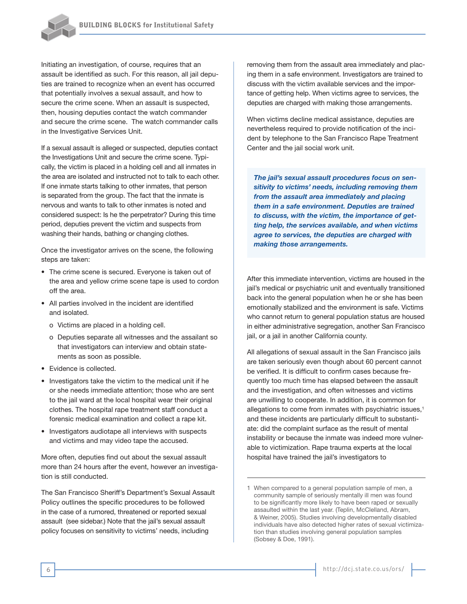

Initiating an investigation, of course, requires that an assault be identified as such. For this reason, all jail deputies are trained to recognize when an event has occurred that potentially involves a sexual assault, and how to secure the crime scene. When an assault is suspected, then, housing deputies contact the watch commander and secure the crime scene. The watch commander calls in the Investigative Services Unit.

If a sexual assault is alleged or suspected, deputies contact the Investigations Unit and secure the crime scene. Typically, the victim is placed in a holding cell and all inmates in the area are isolated and instructed not to talk to each other. If one inmate starts talking to other inmates, that person is separated from the group. The fact that the inmate is nervous and wants to talk to other inmates is noted and considered suspect: Is he the perpetrator? During this time period, deputies prevent the victim and suspects from washing their hands, bathing or changing clothes.

Once the investigator arrives on the scene, the following steps are taken:

- The crime scene is secured. Everyone is taken out of the area and yellow crime scene tape is used to cordon off the area.
- All parties involved in the incident are identified and isolated.
	- o Victims are placed in a holding cell.
	- o Deputies separate all witnesses and the assailant so that investigators can interview and obtain statements as soon as possible.
- Evidence is collected.
- Investigators take the victim to the medical unit if he or she needs immediate attention; those who are sent to the jail ward at the local hospital wear their original clothes. The hospital rape treatment staff conduct a forensic medical examination and collect a rape kit.
- Investigators audiotape all interviews with suspects and victims and may video tape the accused.

More often, deputies find out about the sexual assault more than 24 hours after the event, however an investigation is still conducted.

The San Francisco Sheriff's Department's Sexual Assault Policy outlines the specific procedures to be followed in the case of a rumored, threatened or reported sexual assault (see sidebar.) Note that the jail's sexual assault policy focuses on sensitivity to victims' needs, including

removing them from the assault area immediately and placing them in a safe environment. Investigators are trained to discuss with the victim available services and the importance of getting help. When victims agree to services, the deputies are charged with making those arrangements.

When victims decline medical assistance, deputies are nevertheless required to provide notification of the incident by telephone to the San Francisco Rape Treatment Center and the jail social work unit.

*The jail's sexual assault procedures focus on sensitivity to victims' needs, including removing them from the assault area immediately and placing them in a safe environment. Deputies are trained to discuss, with the victim, the importance of getting help, the services available, and when victims agree to services, the deputies are charged with making those arrangements.*

After this immediate intervention, victims are housed in the jail's medical or psychiatric unit and eventually transitioned back into the general population when he or she has been emotionally stabilized and the environment is safe. Victims who cannot return to general population status are housed in either administrative segregation, another San Francisco jail, or a jail in another California county.

All allegations of sexual assault in the San Francisco jails are taken seriously even though about 60 percent cannot be verified. It is difficult to confirm cases because frequently too much time has elapsed between the assault and the investigation, and often witnesses and victims are unwilling to cooperate. In addition, it is common for allegations to come from inmates with psychiatric issues,<sup>1</sup> and these incidents are particularly difficult to substantiate: did the complaint surface as the result of mental instability or because the inmate was indeed more vulnerable to victimization. Rape trauma experts at the local hospital have trained the jail's investigators to

<sup>1</sup> When compared to a general population sample of men, a community sample of seriously mentally ill men was found to be significantly more likely to have been raped or sexually assaulted within the last year. (Teplin, McClelland, Abram, & Weiner, 2005). Studies involving developmentally disabled individuals have also detected higher rates of sexual victimization than studies involving general population samples (Sobsey & Doe, 1991).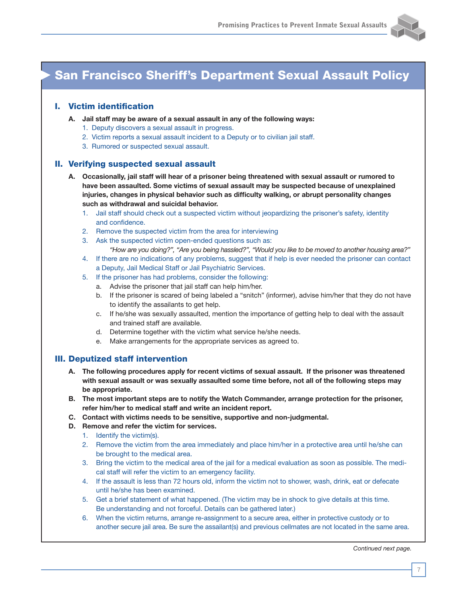

# San Francisco Sheriff's Department Sexual Assault Policy

## I. Victim identification

- **A. Jail staff may be aware of a sexual assault in any of the following ways:**
	- 1. Deputy discovers a sexual assault in progress.
	- 2. Victim reports a sexual assault incident to a Deputy or to civilian jail staff.
	- 3. Rumored or suspected sexual assault.

#### II. Verifying suspected sexual assault

- **A. Occasionally, jail staff will hear of a prisoner being threatened with sexual assault or rumored to have been assaulted. Some victims of sexual assault may be suspected because of unexplained injuries, changes in physical behavior such as difficulty walking, or abrupt personality changes such as withdrawal and suicidal behavior.**
	- 1. Jail staff should check out a suspected victim without jeopardizing the prisoner's safety, identity and confidence.
	- 2. Remove the suspected victim from the area for interviewing
	- 3. Ask the suspected victim open-ended questions such as:
	- *"How are you doing?", "Are you being hassled?", "Would you like to be moved to another housing area?"* 4. If there are no indications of any problems, suggest that if help is ever needed the prisoner can contact
		- a Deputy, Jail Medical Staff or Jail Psychiatric Services.
	- 5. If the prisoner has had problems, consider the following:
		- a. Advise the prisoner that jail staff can help him/her.
		- b. If the prisoner is scared of being labeled a "snitch" (informer), advise him/her that they do not have to identify the assailants to get help.
		- c. If he/she was sexually assaulted, mention the importance of getting help to deal with the assault and trained staff are available.
		- d. Determine together with the victim what service he/she needs.
		- e. Make arrangements for the appropriate services as agreed to.

#### III. Deputized staff intervention

- **A. The following procedures apply for recent victims of sexual assault. If the prisoner was threatened with sexual assault or was sexually assaulted some time before, not all of the following steps may be appropriate.**
- **B. The most important steps are to notify the Watch Commander, arrange protection for the prisoner, refer him/her to medical staff and write an incident report.**
- **C. Contact with victims needs to be sensitive, supportive and non-judgmental.**
- **D. Remove and refer the victim for services.**
	- 1. Identify the victim(s).
	- 2. Remove the victim from the area immediately and place him/her in a protective area until he/she can be brought to the medical area.
	- 3. Bring the victim to the medical area of the jail for a medical evaluation as soon as possible. The medical staff will refer the victim to an emergency facility.
	- 4. If the assault is less than 72 hours old, inform the victim not to shower, wash, drink, eat or defecate until he/she has been examined.
	- 5. Get a brief statement of what happened. (The victim may be in shock to give details at this time. Be understanding and not forceful. Details can be gathered later.)
	- 6. When the victim returns, arrange re-assignment to a secure area, either in protective custody or to another secure jail area. Be sure the assailant(s) and previous cellmates are not located in the same area.

*Continued next page.*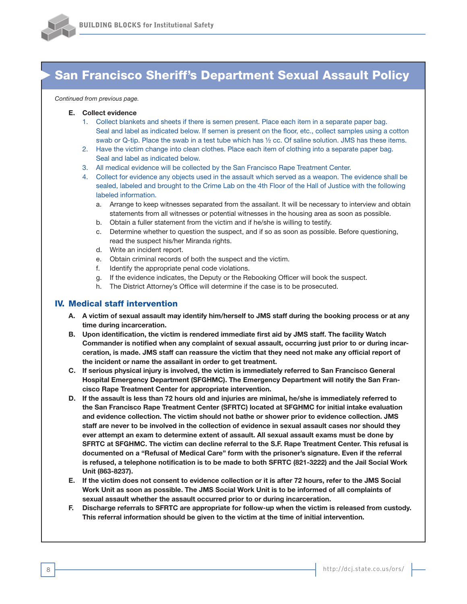

# San Francisco Sheriff's Department Sexual Assault Policy

#### *Continued from previous page.*

#### **E. Collect evidence**

- 1. Collect blankets and sheets if there is semen present. Place each item in a separate paper bag. Seal and label as indicated below. If semen is present on the floor, etc., collect samples using a cotton swab or Q-tip. Place the swab in a test tube which has ½ cc. Of saline solution. JMS has these items.
- 2. Have the victim change into clean clothes. Place each item of clothing into a separate paper bag. Seal and label as indicated below.
- 3. All medical evidence will be collected by the San Francisco Rape Treatment Center.
- 4. Collect for evidence any objects used in the assault which served as a weapon. The evidence shall be sealed, labeled and brought to the Crime Lab on the 4th Floor of the Hall of Justice with the following labeled information.
	- a. Arrange to keep witnesses separated from the assailant. It will be necessary to interview and obtain statements from all witnesses or potential witnesses in the housing area as soon as possible.
	- b. Obtain a fuller statement from the victim and if he/she is willing to testify.
	- c. Determine whether to question the suspect, and if so as soon as possible. Before questioning, read the suspect his/her Miranda rights.
	- d. Write an incident report.
	- e. Obtain criminal records of both the suspect and the victim.
	- f. Identify the appropriate penal code violations.
	- g. If the evidence indicates, the Deputy or the Rebooking Officer will book the suspect.
	- h. The District Attorney's Office will determine if the case is to be prosecuted.

#### IV. Medical staff intervention

- A. A victim of sexual assault may identify him/herself to JMS staff during the booking process or at any **time during incarceration.**
- **B. Upon identification, the victim is rendered immediate first aid by JMS staff. The facility Watch Commander is notified when any complaint of sexual assault, occurring just prior to or during incar**ceration, is made. JMS staff can reassure the victim that they need not make any official report of **the incident or name the assailant in order to get treatment.**
- **C. If serious physical injury is involved, the victim is immediately referred to San Francisco General Hospital Emergency Department (SFGHMC). The Emergency Department will notify the San Francisco Rape Treatment Center for appropriate intervention.**
- D. If the assault is less than 72 hours old and injuries are minimal, he/she is immediately referred to **the San Francisco Rape Treatment Center (SFRTC) located at SFGHMC for initial intake evaluation and evidence collection. The victim should not bathe or shower prior to evidence collection. JMS** staff are never to be involved in the collection of evidence in sexual assault cases nor should they **ever attempt an exam to determine extent of assault. All sexual assault exams must be done by SFRTC at SFGHMC. The victim can decline referral to the S.F. Rape Treatment Center. This refusal is documented on a "Refusal of Medical Care" form with the prisoner's signature. Even if the referral** is refused, a telephone notification is to be made to both SFRTC (821-3222) and the Jail Social Work **Unit (863-8237).**
- E. If the victim does not consent to evidence collection or it is after 72 hours, refer to the JMS Social Work Unit as soon as possible. The JMS Social Work Unit is to be informed of all complaints of **sexual assault whether the assault occurred prior to or during incarceration.**
- **F. Discharge referrals to SFRTC are appropriate for follow-up when the victim is released from custody. This referral information should be given to the victim at the time of initial intervention.**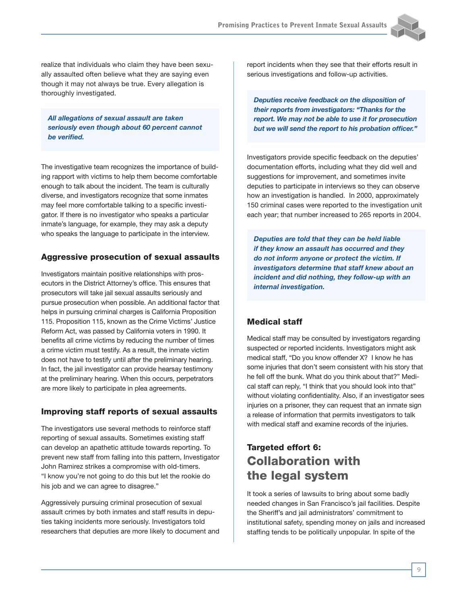

realize that individuals who claim they have been sexually assaulted often believe what they are saying even though it may not always be true. Every allegation is thoroughly investigated.

*All allegations of sexual assault are taken seriously even though about 60 percent cannot be verified.*

The investigative team recognizes the importance of building rapport with victims to help them become comfortable enough to talk about the incident. The team is culturally diverse, and investigators recognize that some inmates may feel more comfortable talking to a specific investigator. If there is no investigator who speaks a particular inmate's language, for example, they may ask a deputy who speaks the language to participate in the interview.

#### Aggressive prosecution of sexual assaults

Investigators maintain positive relationships with prosecutors in the District Attorney's office. This ensures that prosecutors will take jail sexual assaults seriously and pursue prosecution when possible. An additional factor that helps in pursuing criminal charges is California Proposition 115. Proposition 115, known as the Crime Victims' Justice Reform Act, was passed by California voters in 1990. It benefits all crime victims by reducing the number of times a crime victim must testify. As a result, the inmate victim does not have to testify until after the preliminary hearing. In fact, the jail investigator can provide hearsay testimony at the preliminary hearing. When this occurs, perpetrators are more likely to participate in plea agreements.

## Improving staff reports of sexual assaults

The investigators use several methods to reinforce staff reporting of sexual assaults. Sometimes existing staff can develop an apathetic attitude towards reporting. To prevent new staff from falling into this pattern, Investigator John Ramirez strikes a compromise with old-timers. "I know you're not going to do this but let the rookie do his job and we can agree to disagree."

Aggressively pursuing criminal prosecution of sexual assault crimes by both inmates and staff results in deputies taking incidents more seriously. Investigators told researchers that deputies are more likely to document and report incidents when they see that their efforts result in serious investigations and follow-up activities.

*Deputies receive feedback on the disposition of their reports from investigators: "Thanks for the report. We may not be able to use it for prosecution but we will send the report to his probation officer."* 

Investigators provide specific feedback on the deputies' documentation efforts, including what they did well and suggestions for improvement, and sometimes invite deputies to participate in interviews so they can observe how an investigation is handled. In 2000, approximately 150 criminal cases were reported to the investigation unit each year; that number increased to 265 reports in 2004.

*Deputies are told that they can be held liable if they know an assault has occurred and they do not inform anyone or protect the victim. If investigators determine that staff knew about an incident and did nothing, they follow-up with an internal investigation.*

## Medical staff

Medical staff may be consulted by investigators regarding suspected or reported incidents. Investigators might ask medical staff, "Do you know offender X? I know he has some injuries that don't seem consistent with his story that he fell off the bunk. What do you think about that?" Medical staff can reply, "I think that you should look into that" without violating confidentiality. Also, if an investigator sees injuries on a prisoner, they can request that an inmate sign a release of information that permits investigators to talk with medical staff and examine records of the injuries.

## Targeted effort 6: Collaboration with the legal system

It took a series of lawsuits to bring about some badly needed changes in San Francisco's jail facilities. Despite the Sheriff's and jail administrators' commitment to institutional safety, spending money on jails and increased staffing tends to be politically unpopular. In spite of the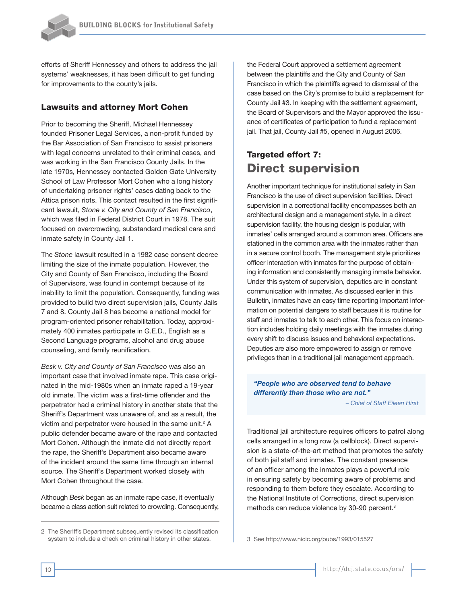

efforts of Sheriff Hennessey and others to address the jail systems' weaknesses, it has been difficult to get funding for improvements to the county's jails.

#### Lawsuits and attorney Mort Cohen

Prior to becoming the Sheriff, Michael Hennessey founded Prisoner Legal Services, a non-profit funded by the Bar Association of San Francisco to assist prisoners with legal concerns unrelated to their criminal cases, and was working in the San Francisco County Jails. In the late 1970s, Hennessey contacted Golden Gate University School of Law Professor Mort Cohen who a long history of undertaking prisoner rights' cases dating back to the Attica prison riots. This contact resulted in the first significant lawsuit, *Stone v. City and County of San Francisco*, which was filed in Federal District Court in 1978. The suit focused on overcrowding, substandard medical care and inmate safety in County Jail 1.

The *Stone* lawsuit resulted in a 1982 case consent decree limiting the size of the inmate population. However, the City and County of San Francisco, including the Board of Supervisors, was found in contempt because of its inability to limit the population. Consequently, funding was provided to build two direct supervision jails, County Jails 7 and 8. County Jail 8 has become a national model for program-oriented prisoner rehabilitation. Today, approximately 400 inmates participate in G.E.D., English as a Second Language programs, alcohol and drug abuse counseling, and family reunification.

*Besk v. City and County of San Francisco* was also an important case that involved inmate rape. This case originated in the mid-1980s when an inmate raped a 19-year old inmate. The victim was a first-time offender and the perpetrator had a criminal history in another state that the Sheriff's Department was unaware of, and as a result, the victim and perpetrator were housed in the same unit.<sup>2</sup> A public defender became aware of the rape and contacted Mort Cohen. Although the inmate did not directly report the rape, the Sheriff's Department also became aware of the incident around the same time through an internal source. The Sheriff's Department worked closely with Mort Cohen throughout the case.

Although *Besk* began as an inmate rape case, it eventually became a class action suit related to crowding. Consequently,

the Federal Court approved a settlement agreement between the plaintiffs and the City and County of San Francisco in which the plaintiffs agreed to dismissal of the case based on the City's promise to build a replacement for County Jail #3. In keeping with the settlement agreement, the Board of Supervisors and the Mayor approved the issuance of certificates of participation to fund a replacement jail. That jail, County Jail #5, opened in August 2006.

## Targeted effort 7: Direct supervision

Another important technique for institutional safety in San Francisco is the use of direct supervision facilities. Direct supervision in a correctional facility encompasses both an architectural design and a management style. In a direct supervision facility, the housing design is podular, with inmates' cells arranged around a common area. Officers are stationed in the common area with the inmates rather than in a secure control booth. The management style prioritizes officer interaction with inmates for the purpose of obtaining information and consistently managing inmate behavior. Under this system of supervision, deputies are in constant communication with inmates. As discussed earlier in this Bulletin, inmates have an easy time reporting important information on potential dangers to staff because it is routine for staff and inmates to talk to each other. This focus on interaction includes holding daily meetings with the inmates during every shift to discuss issues and behavioral expectations. Deputies are also more empowered to assign or remove privileges than in a traditional jail management approach.

## *"People who are observed tend to behave differently than those who are not."*

*– Chief of Staff Eileen Hirst*

Traditional jail architecture requires officers to patrol along cells arranged in a long row (a cellblock). Direct supervision is a state-of-the-art method that promotes the safety of both jail staff and inmates. The constant presence of an officer among the inmates plays a powerful role in ensuring safety by becoming aware of problems and responding to them before they escalate. According to the National Institute of Corrections, direct supervision methods can reduce violence by 30-90 percent.3

<sup>2</sup> The Sheriff's Department subsequently revised its classification system to include a check on criminal history in other states.

<sup>3</sup> See http://www.nicic.org/pubs/1993/015527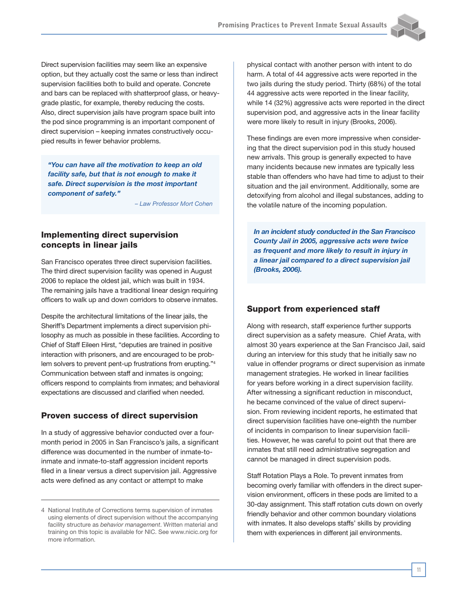

Direct supervision facilities may seem like an expensive option, but they actually cost the same or less than indirect supervision facilities both to build and operate. Concrete and bars can be replaced with shatterproof glass, or heavygrade plastic, for example, thereby reducing the costs. Also, direct supervision jails have program space built into the pod since programming is an important component of direct supervision – keeping inmates constructively occupied results in fewer behavior problems.

*"You can have all the motivation to keep an old facility safe, but that is not enough to make it safe. Direct supervision is the most important component of safety."* 

*– Law Professor Mort Cohen*

## Implementing direct supervision concepts in linear jails

San Francisco operates three direct supervision facilities. The third direct supervision facility was opened in August 2006 to replace the oldest jail, which was built in 1934. The remaining jails have a traditional linear design requiring officers to walk up and down corridors to observe inmates.

Despite the architectural limitations of the linear jails, the Sheriff's Department implements a direct supervision philosophy as much as possible in these facilities. According to Chief of Staff Eileen Hirst, "deputies are trained in positive interaction with prisoners, and are encouraged to be problem solvers to prevent pent-up frustrations from erupting."4 Communication between staff and inmates is ongoing; officers respond to complaints from inmates; and behavioral expectations are discussed and clarified when needed.

## Proven success of direct supervision

In a study of aggressive behavior conducted over a fourmonth period in 2005 in San Francisco's jails, a significant difference was documented in the number of inmate-toinmate and inmate-to-staff aggression incident reports filed in a linear versus a direct supervision jail. Aggressive acts were defined as any contact or attempt to make

physical contact with another person with intent to do harm. A total of 44 aggressive acts were reported in the two jails during the study period. Thirty (68%) of the total 44 aggressive acts were reported in the linear facility, while 14 (32%) aggressive acts were reported in the direct supervision pod, and aggressive acts in the linear facility were more likely to result in injury (Brooks, 2006).

These findings are even more impressive when considering that the direct supervision pod in this study housed new arrivals. This group is generally expected to have many incidents because new inmates are typically less stable than offenders who have had time to adjust to their situation and the jail environment. Additionally, some are detoxifying from alcohol and illegal substances, adding to the volatile nature of the incoming population.

*In an incident study conducted in the San Francisco County Jail in 2005, aggressive acts were twice as frequent and more likely to result in injury in a linear jail compared to a direct supervision jail (Brooks, 2006).*

## Support from experienced staff

Along with research, staff experience further supports direct supervision as a safety measure. Chief Arata, with almost 30 years experience at the San Francisco Jail, said during an interview for this study that he initially saw no value in offender programs or direct supervision as inmate management strategies. He worked in linear facilities for years before working in a direct supervision facility. After witnessing a significant reduction in misconduct, he became convinced of the value of direct supervision. From reviewing incident reports, he estimated that direct supervision facilities have one-eighth the number of incidents in comparison to linear supervision facilities. However, he was careful to point out that there are inmates that still need administrative segregation and cannot be managed in direct supervision pods.

Staff Rotation Plays a Role. To prevent inmates from becoming overly familiar with offenders in the direct supervision environment, officers in these pods are limited to a 30-day assignment. This staff rotation cuts down on overly friendly behavior and other common boundary violations with inmates. It also develops staffs' skills by providing them with experiences in different jail environments.

<sup>4</sup> National Institute of Corrections terms supervision of inmates using elements of direct supervision without the accompanying facility structure as *behavior management*. Written material and training on this topic is available for NIC. See www.nicic.org for more information.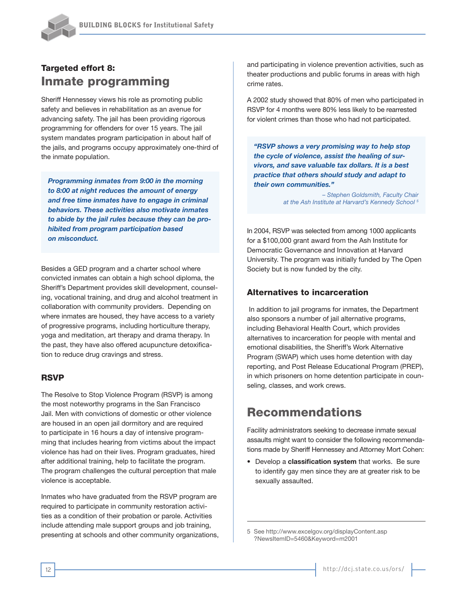

## Targeted effort 8: Inmate programming

Sheriff Hennessey views his role as promoting public safety and believes in rehabilitation as an avenue for advancing safety. The jail has been providing rigorous programming for offenders for over 15 years. The jail system mandates program participation in about half of the jails, and programs occupy approximately one-third of the inmate population.

*Programming inmates from 9:00 in the morning to 8:00 at night reduces the amount of energy and free time inmates have to engage in criminal behaviors. These activities also motivate inmates to abide by the jail rules because they can be prohibited from program participation based on misconduct.* 

Besides a GED program and a charter school where convicted inmates can obtain a high school diploma, the Sheriff's Department provides skill development, counseling, vocational training, and drug and alcohol treatment in collaboration with community providers. Depending on where inmates are housed, they have access to a variety of progressive programs, including horticulture therapy, yoga and meditation, art therapy and drama therapy. In the past, they have also offered acupuncture detoxification to reduce drug cravings and stress.

## RSVP

The Resolve to Stop Violence Program (RSVP) is among the most noteworthy programs in the San Francisco Jail. Men with convictions of domestic or other violence are housed in an open jail dormitory and are required to participate in 16 hours a day of intensive programming that includes hearing from victims about the impact violence has had on their lives. Program graduates, hired after additional training, help to facilitate the program. The program challenges the cultural perception that male violence is acceptable.

Inmates who have graduated from the RSVP program are required to participate in community restoration activities as a condition of their probation or parole. Activities include attending male support groups and job training, presenting at schools and other community organizations, and participating in violence prevention activities, such as theater productions and public forums in areas with high crime rates.

A 2002 study showed that 80% of men who participated in RSVP for 4 months were 80% less likely to be rearrested for violent crimes than those who had not participated.

*"RSVP shows a very promising way to help stop the cycle of violence, assist the healing of survivors, and save valuable tax dollars. It is a best practice that others should study and adapt to their own communities."* 

> *– Stephen Goldsmith, Faculty Chair at the Ash Institute at Harvard's Kennedy School 5*

In 2004, RSVP was selected from among 1000 applicants for a \$100,000 grant award from the Ash Institute for Democratic Governance and Innovation at Harvard University. The program was initially funded by The Open Society but is now funded by the city.

#### Alternatives to incarceration

 In addition to jail programs for inmates, the Department also sponsors a number of jail alternative programs, including Behavioral Health Court, which provides alternatives to incarceration for people with mental and emotional disabilities, the Sheriff's Work Alternative Program (SWAP) which uses home detention with day reporting, and Post Release Educational Program (PREP), in which prisoners on home detention participate in counseling, classes, and work crews.

## Recommendations

Facility administrators seeking to decrease inmate sexual assaults might want to consider the following recommendations made by Sheriff Hennessey and Attorney Mort Cohen:

• Develop a **classification system** that works. Be sure to identify gay men since they are at greater risk to be sexually assaulted.

5 See http://www.excelgov.org/displayContent.asp ?NewsItemID=5460&Keyword=m2001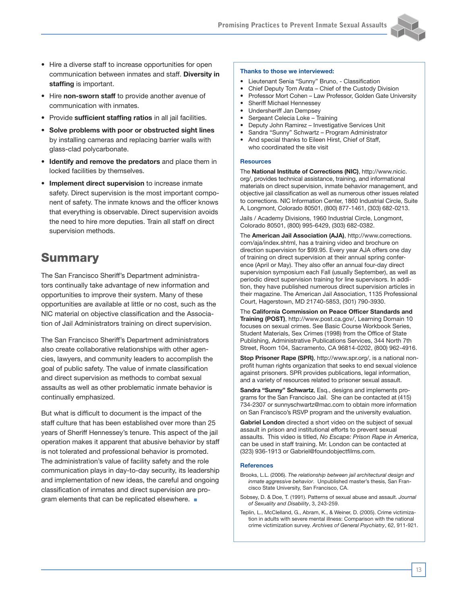

- Hire a diverse staff to increase opportunities for open communication between inmates and staff. **Diversity in staffing** is important.
- Hire **non-sworn staff** to provide another avenue of communication with inmates.
- Provide **sufficient staffing ratios** in all jail facilities.
- **Solve problems with poor or obstructed sight lines** by installing cameras and replacing barrier walls with glass-clad polycarbonate.
- **Identify and remove the predators** and place them in locked facilities by themselves.
- **Implement direct supervision** to increase inmate safety. Direct supervision is the most important component of safety. The inmate knows and the officer knows that everything is observable. Direct supervision avoids the need to hire more deputies. Train all staff on direct supervision methods.

## **Summary**

The San Francisco Sheriff's Department administrators continually take advantage of new information and opportunities to improve their system. Many of these opportunities are available at little or no cost, such as the NIC material on objective classification and the Association of Jail Administrators training on direct supervision.

The San Francisco Sheriff's Department administrators also create collaborative relationships with other agencies, lawyers, and community leaders to accomplish the goal of public safety. The value of inmate classification and direct supervision as methods to combat sexual assaults as well as other problematic inmate behavior is continually emphasized.

But what is difficult to document is the impact of the staff culture that has been established over more than 25 years of Sheriff Hennessey's tenure. This aspect of the jail operation makes it apparent that abusive behavior by staff is not tolerated and professional behavior is promoted. The administration's value of facility safety and the role communication plays in day-to-day security, its leadership and implementation of new ideas, the careful and ongoing classification of inmates and direct supervision are program elements that can be replicated elsewhere.  $\blacksquare$ 

#### **Thanks to those we interviewed:**

- Lieutenant Senia "Sunny" Bruno, Classification
- Chief Deputy Tom Arata Chief of the Custody Division
- Professor Mort Cohen Law Professor, Golden Gate University
- Sheriff Michael Hennessey
- Undersheriff Jan Dempsey
- Sergeant Celecia Loke Training
- Deputy John Ramirez Investigative Services Unit
- Sandra "Sunny" Schwartz Program Administrator • And special thanks to Eileen Hirst, Chief of Staff,
- who coordinated the site visit

#### **Resources**

The **National Institute of Corrections (NIC)**, http://www.nicic. org/, provides technical assistance, training, and informational materials on direct supervision, inmate behavior management, and objective jail classification as well as numerous other issues related to corrections. NIC Information Center, 1860 Industrial Circle, Suite A, Longmont, Colorado 80501, (800) 877-1461, (303) 682-0213.

Jails / Academy Divisions, 1960 Industrial Circle, Longmont, Colorado 80501, (800) 995-6429, (303) 682-0382.

The **American Jail Association (AJA)**, http://www.corrections. com/aja/index.shtml, has a training video and brochure on direction supervision for \$99.95. Every year AJA offers one day of training on direct supervision at their annual spring conference (April or May). They also offer an annual four-day direct supervision symposium each Fall (usually September), as well as periodic direct supervision training for line supervisors. In addition, they have published numerous direct supervision articles in their magazine. The American Jail Association, 1135 Professional Court, Hagerstown, MD 21740-5853, (301) 790-3930.

The **California Commission on Peace Officer Standards and Training (POST)**, http://www.post.ca.gov/, Learning Domain 10 focuses on sexual crimes. See Basic Course Workbook Series, Student Materials, Sex Crimes (1998) from the Office of State Publishing, Administrative Publications Services, 344 North 7th Street, Room 104, Sacramento, CA 96814-0202, (800) 962-4916.

**Stop Prisoner Rape (SPR)**, http://www.spr.org/, is a national nonprofit human rights organization that seeks to end sexual violence against prisoners. SPR provides publications, legal information, and a variety of resources related to prisoner sexual assault.

**Sandra "Sunny" Schwartz**, Esq., designs and implements programs for the San Francisco Jail. She can be contacted at (415) 734-2307 or sunnyschwartz@mac.com to obtain more information on San Francisco's RSVP program and the university evaluation.

**Gabriel London** directed a short video on the subject of sexual assault in prison and institutional efforts to prevent sexual assaults. This video is titled, *No Escape: Prison Rape in America*, can be used in staff training. Mr. London can be contacted at (323) 936-1913 or Gabriel@foundobjectfilms.com.

#### **References**

- Brooks, L.L. (2006). *The relationship between jail architectural design and inmate aggressive behavior*. Unpublished master's thesis, San Francisco State University, San Francisco, CA.
- Sobsey, D. & Doe, T. (1991). Patterns of sexual abuse and assault. *Journal of Sexuality and Disability*, 3, 243-259.
- Teplin, L., McClelland, G., Abram, K., & Weiner, D. (2005). Crime victimization in adults with severe mental illness: Comparison with the national crime victimization survey. *Archives of General Psychiatry*, 62, 911-921.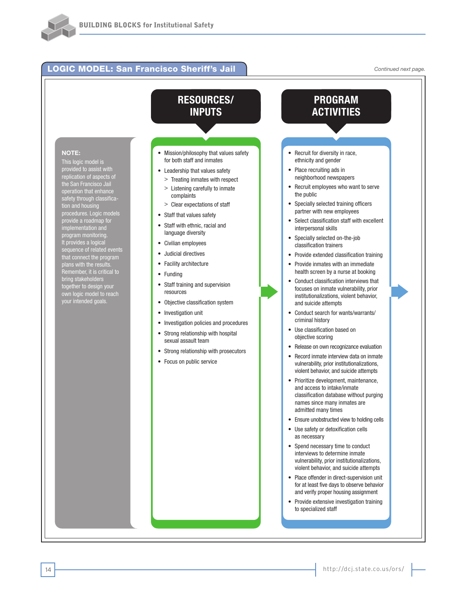## LOGIC MODEL: San Francisco Sheriff's Jail

*Continued next page.*

#### **NOTE:**

This logic model is provided to assist with replication of aspects of the San Francisco Jail operation that enhance safety through classification and housing procedures. Logic models provide a roadmap for implementation and program monitoring. It provides a logical sequence of related events that connect the program plans with the results. Remember, it is critical to bring stakeholders together to design your own logic model to reach your intended goals.

## **RESOURCES/ INPUTS**

- Mission/philosophy that values safety for both staff and inmates
- Leadership that values safety
- > Treating inmates with respect > Listening carefully to inmate
- complaints
- > Clear expectations of staff
- Staff that values safety
- Staff with ethnic, racial and language diversity
- Civilian employees
- Judicial directives
- Facility architecture
- Funding
- Staff training and supervision resources
- Objective classification system
- Investigation unit
- Investigation policies and procedures
- Strong relationship with hospital sexual assault team
- Strong relationship with prosecutors
- Focus on public service



- Spend necessary time to conduct interviews to determine inmate vulnerability, prior institutionalizations, violent behavior, and suicide attempts
- Place offender in direct-supervision unit for at least five days to observe behavior and verify proper housing assignment
- Provide extensive investigation training to specialized staff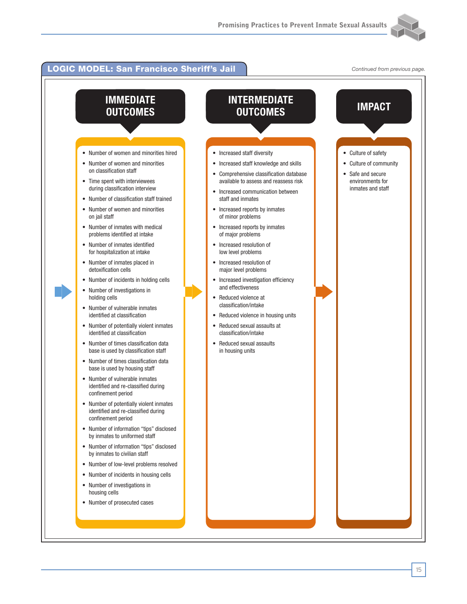

#### LOGIC MODEL: San Francisco Sheriff's Jail **Continued and Accontinued from previous page. IMPACT** • Culture of safety • Culture of community • Safe and secure environments for inmates and staff **INTERMEDIATE OUTCOMES** • Increased staff diversity • Increased staff knowledge and skills • Comprehensive classification database available to assess and reassess risk • Increased communication between staff and inmates • Increased reports by inmates of minor problems • Increased reports by inmates of major problems • Increased resolution of low level problems • Increased resolution of major level problems • Increased investigation efficiency and effectiveness • Reduced violence at classification/intake • Reduced violence in housing units • Reduced sexual assaults at classification/intake • Reduced sexual assaults in housing units **IMMEDIATE OUTCOMES** • Number of women and minorities hired • Number of women and minorities on classification staff • Time spent with interviewees during classification interview • Number of classification staff trained • Number of women and minorities on jail staff • Number of inmates with medical problems identified at intake • Number of inmates identified for hospitalization at intake • Number of inmates placed in detoxification cells • Number of incidents in holding cells • Number of investigations in holding cells • Number of vulnerable inmates identified at classification • Number of potentially violent inmates identified at classification • Number of times classification data base is used by classification staff • Number of times classification data base is used by housing staff • Number of vulnerable inmates identified and re-classified during confinement period • Number of potentially violent inmates identified and re-classified during confinement period • Number of information "tips" disclosed by inmates to uniformed staff • Number of information "tips" disclosed by inmates to civilian staff • Number of low-level problems resolved • Number of incidents in housing cells • Number of investigations in housing cells • Number of prosecuted cases

15